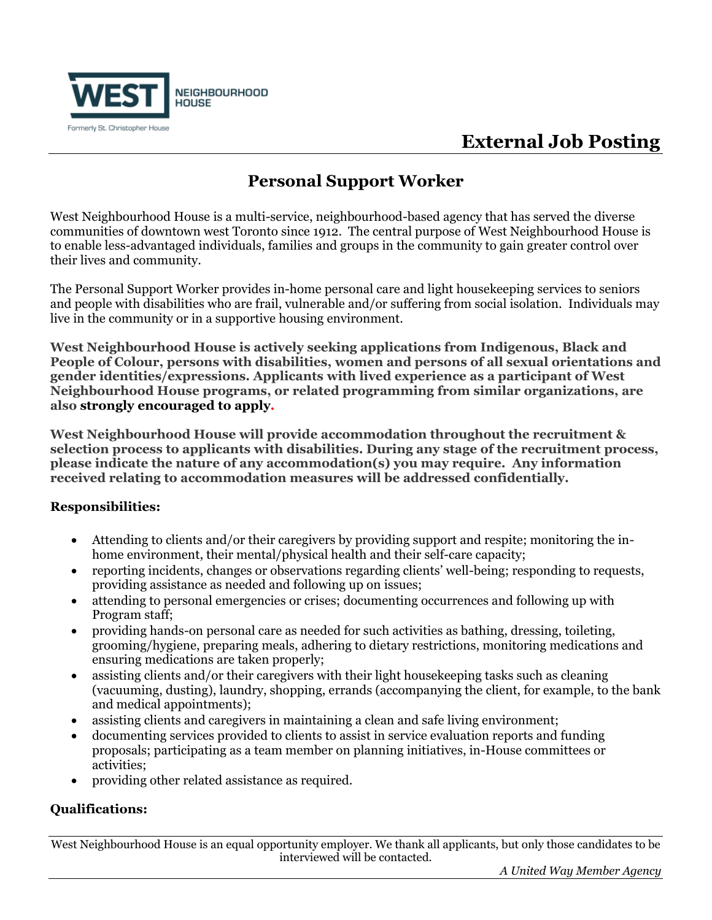

## **External Job Posting**

### **Personal Support Worker**

West Neighbourhood House is a multi-service, neighbourhood-based agency that has served the diverse communities of downtown west Toronto since 1912. The central purpose of West Neighbourhood House is to enable less-advantaged individuals, families and groups in the community to gain greater control over their lives and community.

The Personal Support Worker provides in-home personal care and light housekeeping services to seniors and people with disabilities who are frail, vulnerable and/or suffering from social isolation. Individuals may live in the community or in a supportive housing environment.

**West Neighbourhood House is actively seeking applications from Indigenous, Black and People of Colour, persons with disabilities, women and persons of all sexual orientations and gender identities/expressions. Applicants with lived experience as a participant of West Neighbourhood House programs, or related programming from similar organizations, are also strongly encouraged to apply.** 

**West Neighbourhood House will provide accommodation throughout the recruitment & selection process to applicants with disabilities. During any stage of the recruitment process, please indicate the nature of any accommodation(s) you may require. Any information received relating to accommodation measures will be addressed confidentially.**

#### **Responsibilities:**

- Attending to clients and/or their caregivers by providing support and respite; monitoring the inhome environment, their mental/physical health and their self-care capacity;
- reporting incidents, changes or observations regarding clients' well-being; responding to requests, providing assistance as needed and following up on issues;
- attending to personal emergencies or crises; documenting occurrences and following up with Program staff;
- providing hands-on personal care as needed for such activities as bathing, dressing, toileting, grooming/hygiene, preparing meals, adhering to dietary restrictions, monitoring medications and ensuring medications are taken properly;
- assisting clients and/or their caregivers with their light housekeeping tasks such as cleaning (vacuuming, dusting), laundry, shopping, errands (accompanying the client, for example, to the bank and medical appointments);
- assisting clients and caregivers in maintaining a clean and safe living environment;
- documenting services provided to clients to assist in service evaluation reports and funding proposals; participating as a team member on planning initiatives, in-House committees or activities;
- providing other related assistance as required.

### **Qualifications:**

West Neighbourhood House is an equal opportunity employer. We thank all applicants, but only those candidates to be interviewed will be contacted.